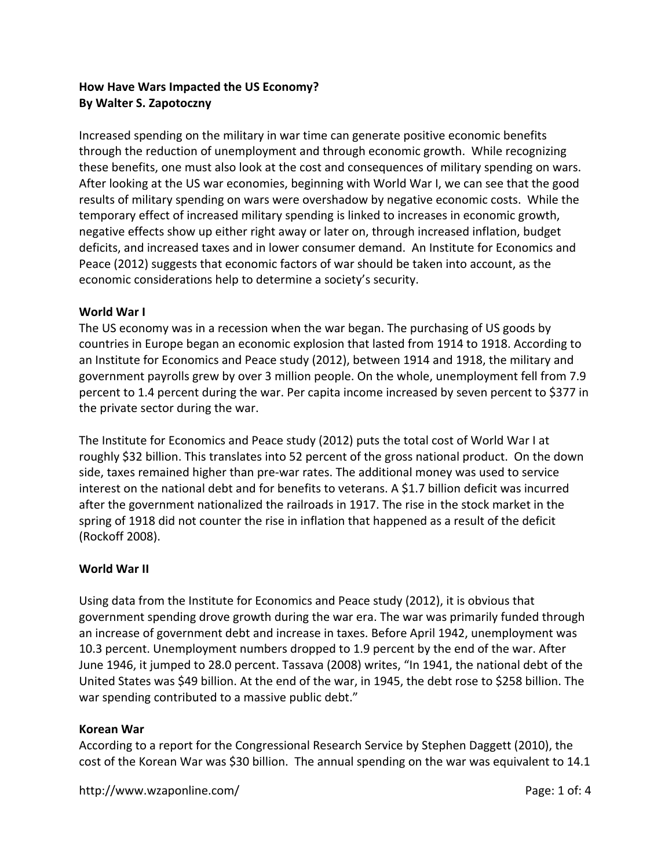# **How Have Wars Impacted the US Economy? By Walter S. Zapotoczny**

Increased spending on the military in war time can generate positive economic benefits through the reduction of unemployment and through economic growth. While recognizing these benefits, one must also look at the cost and consequences of military spending on wars. After looking at the US war economies, beginning with World War I, we can see that the good results of military spending on wars were overshadow by negative economic costs. While the temporary effect of increased military spending is linked to increases in economic growth, negative effects show up either right away or later on, through increased inflation, budget deficits, and increased taxes and in lower consumer demand. An Institute for Economics and Peace (2012) suggests that economic factors of war should be taken into account, as the economic considerations help to determine a society's security.

### **World War I**

The US economy was in a recession when the war began. The purchasing of US goods by countries in Europe began an economic explosion that lasted from 1914 to 1918. According to an Institute for Economics and Peace study (2012), between 1914 and 1918, the military and government payrolls grew by over 3 million people. On the whole, unemployment fell from 7.9 percent to 1.4 percent during the war. Per capita income increased by seven percent to \$377 in the private sector during the war.

The Institute for Economics and Peace study (2012) puts the total cost of World War I at roughly \$32 billion. This translates into 52 percent of the gross national product. On the down side, taxes remained higher than pre‐war rates. The additional money was used to service interest on the national debt and for benefits to veterans. A \$1.7 billion deficit was incurred after the government nationalized the railroads in 1917. The rise in the stock market in the spring of 1918 did not counter the rise in inflation that happened as a result of the deficit (Rockoff 2008).

## **World War II**

Using data from the Institute for Economics and Peace study (2012), it is obvious that government spending drove growth during the war era. The war was primarily funded through an increase of government debt and increase in taxes. Before April 1942, unemployment was 10.3 percent. Unemployment numbers dropped to 1.9 percent by the end of the war. After June 1946, it jumped to 28.0 percent. Tassava (2008) writes, "In 1941, the national debt of the United States was \$49 billion. At the end of the war, in 1945, the debt rose to \$258 billion. The war spending contributed to a massive public debt."

### **Korean War**

According to a report for the Congressional Research Service by Stephen Daggett (2010), the cost of the Korean War was \$30 billion. The annual spending on the war was equivalent to 14.1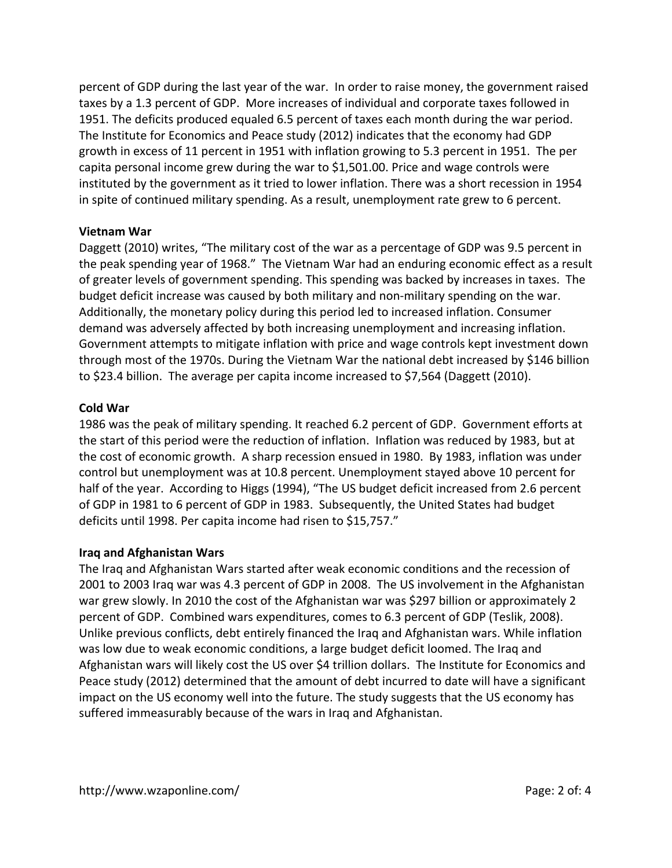percent of GDP during the last year of the war. In order to raise money, the government raised taxes by a 1.3 percent of GDP. More increases of individual and corporate taxes followed in 1951. The deficits produced equaled 6.5 percent of taxes each month during the war period. The Institute for Economics and Peace study (2012) indicates that the economy had GDP growth in excess of 11 percent in 1951 with inflation growing to 5.3 percent in 1951. The per capita personal income grew during the war to \$1,501.00. Price and wage controls were instituted by the government as it tried to lower inflation. There was a short recession in 1954 in spite of continued military spending. As a result, unemployment rate grew to 6 percent.

### **Vietnam War**

Daggett (2010) writes, "The military cost of the war as a percentage of GDP was 9.5 percent in the peak spending year of 1968." The Vietnam War had an enduring economic effect as a result of greater levels of government spending. This spending was backed by increases in taxes. The budget deficit increase was caused by both military and non‐military spending on the war. Additionally, the monetary policy during this period led to increased inflation. Consumer demand was adversely affected by both increasing unemployment and increasing inflation. Government attempts to mitigate inflation with price and wage controls kept investment down through most of the 1970s. During the Vietnam War the national debt increased by \$146 billion to \$23.4 billion. The average per capita income increased to \$7,564 (Daggett (2010).

### **Cold War**

1986 was the peak of military spending. It reached 6.2 percent of GDP. Government efforts at the start of this period were the reduction of inflation. Inflation was reduced by 1983, but at the cost of economic growth. A sharp recession ensued in 1980. By 1983, inflation was under control but unemployment was at 10.8 percent. Unemployment stayed above 10 percent for half of the year. According to Higgs (1994), "The US budget deficit increased from 2.6 percent of GDP in 1981 to 6 percent of GDP in 1983. Subsequently, the United States had budget deficits until 1998. Per capita income had risen to \$15,757."

### **Iraq and Afghanistan Wars**

The Iraq and Afghanistan Wars started after weak economic conditions and the recession of 2001 to 2003 Iraq war was 4.3 percent of GDP in 2008. The US involvement in the Afghanistan war grew slowly. In 2010 the cost of the Afghanistan war was \$297 billion or approximately 2 percent of GDP. Combined wars expenditures, comes to 6.3 percent of GDP (Teslik, 2008). Unlike previous conflicts, debt entirely financed the Iraq and Afghanistan wars. While inflation was low due to weak economic conditions, a large budget deficit loomed. The Iraq and Afghanistan wars will likely cost the US over \$4 trillion dollars. The Institute for Economics and Peace study (2012) determined that the amount of debt incurred to date will have a significant impact on the US economy well into the future. The study suggests that the US economy has suffered immeasurably because of the wars in Iraq and Afghanistan.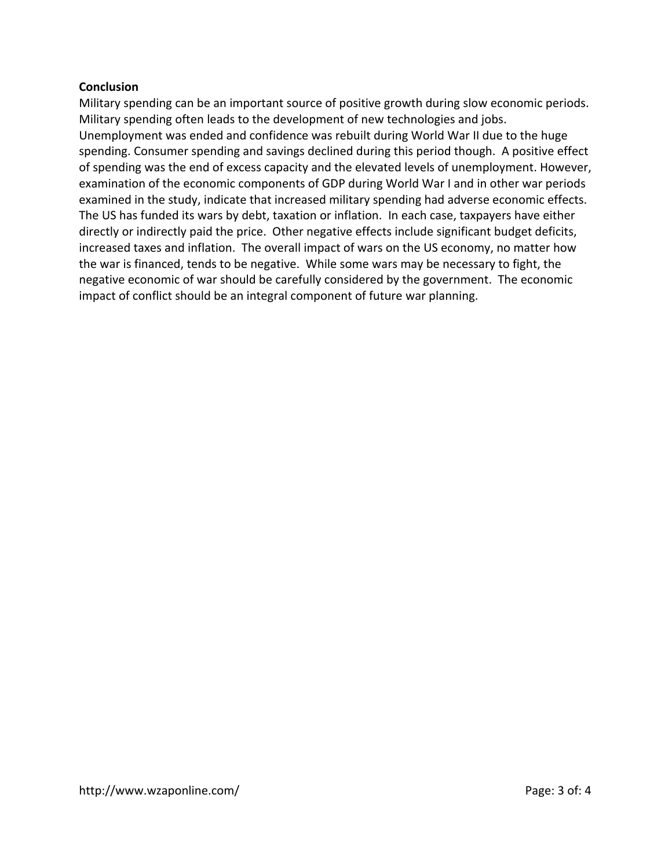### **Conclusion**

Military spending can be an important source of positive growth during slow economic periods. Military spending often leads to the development of new technologies and jobs. Unemployment was ended and confidence was rebuilt during World War II due to the huge spending. Consumer spending and savings declined during this period though. A positive effect of spending was the end of excess capacity and the elevated levels of unemployment. However, examination of the economic components of GDP during World War I and in other war periods examined in the study, indicate that increased military spending had adverse economic effects. The US has funded its wars by debt, taxation or inflation. In each case, taxpayers have either directly or indirectly paid the price. Other negative effects include significant budget deficits, increased taxes and inflation. The overall impact of wars on the US economy, no matter how the war is financed, tends to be negative. While some wars may be necessary to fight, the negative economic of war should be carefully considered by the government. The economic impact of conflict should be an integral component of future war planning.